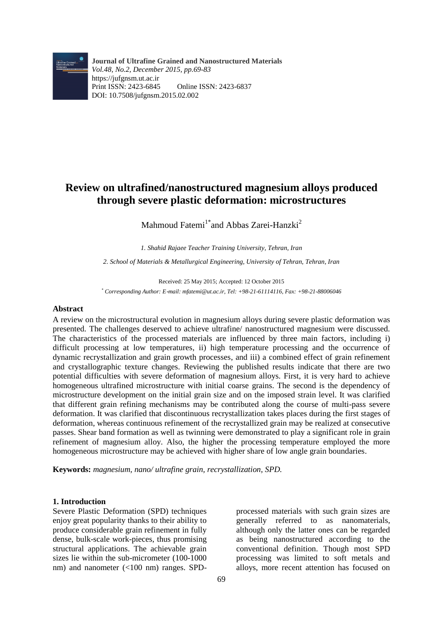

**Journal of Ultrafine Grained and Nanostructured Materials** *Vol.48, No.2, December 2015, pp.69-83* https://jufgnsm.ut.ac.ir Print ISSN: 2423-6845 Online ISSN: 2423-6837 DOI: 10.7508/jufgnsm.2015.02.002

# **Review on ultrafined/nanostructured magnesium alloys produced through severe plastic deformation: microstructures**

Mahmoud Fatemi<sup>1\*</sup> and Abbas Zarei-Hanzki<sup>2</sup>

*1. Shahid Rajaee Teacher Training University, Tehran, Iran*

*2. School of Materials & Metallurgical Engineering, University of Tehran, Tehran, Iran*

Received: 25 May 2015; Accepted: 12 October 2015 *\* Corresponding Author: E*-*mail: mfatemi@ut.ac.ir, Tel: +98-21-61114116, Fax: +98-21-88006046*

## **Abstract**

A review on the microstructural evolution in magnesium alloys during severe plastic deformation was presented. The challenges deserved to achieve ultrafine/ nanostructured magnesium were discussed. The characteristics of the processed materials are influenced by three main factors, including i) difficult processing at low temperatures, ii) high temperature processing and the occurrence of dynamic recrystallization and grain growth processes, and iii) a combined effect of grain refinement and crystallographic texture changes. Reviewing the published results indicate that there are two potential difficulties with severe deformation of magnesium alloys. First, it is very hard to achieve homogeneous ultrafined microstructure with initial coarse grains. The second is the dependency of microstructure development on the initial grain size and on the imposed strain level. It was clarified that different grain refining mechanisms may be contributed along the course of multi-pass severe deformation. It was clarified that discontinuous recrystallization takes places during the first stages of deformation, whereas continuous refinement of the recrystallized grain may be realized at consecutive passes. Shear band formation as well as twinning were demonstrated to play a significant role in grain refinement of magnesium alloy. Also, the higher the processing temperature employed the more homogeneous microstructure may be achieved with higher share of low angle grain boundaries.

**Keywords:** *magnesium, nano/ ultrafine grain, recrystallization, SPD.*

## **1. Introduction**

Severe Plastic Deformation (SPD) techniques enjoy great popularity thanks to their ability to produce considerable grain refinement in fully dense, bulk-scale work-pieces, thus promising structural applications. The achievable grain sizes lie within the sub-micrometer (100-1000 nm) and nanometer (<100 nm) ranges. SPD-

processed materials with such grain sizes are generally referred to as nanomaterials, although only the latter ones can be regarded as being nanostructured according to the conventional definition. Though most SPD processing was limited to soft metals and alloys, more recent attention has focused on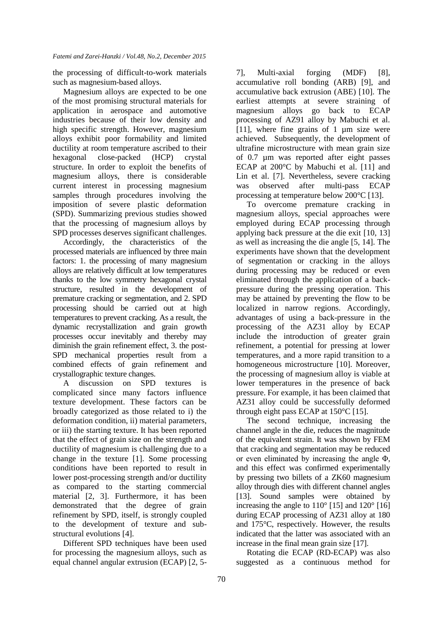the processing of difficult-to-work materials such as magnesium-based alloys.

Magnesium alloys are expected to be one of the most promising structural materials for application in aerospace and automotive industries because of their low density and high specific strength. However, magnesium alloys exhibit poor formability and limited ductility at room temperature ascribed to their hexagonal close-packed (HCP) crystal structure. In order to exploit the benefits of magnesium alloys, there is considerable current interest in processing magnesium samples through procedures involving the imposition of severe plastic deformation (SPD). Summarizing previous studies showed that the processing of magnesium alloys by SPD processes deserves significant challenges.

Accordingly, the characteristics of the processed materials are influenced by three main factors: 1. the processing of many magnesium alloys are relatively difficult at low temperatures thanks to the low symmetry hexagonal crystal structure, resulted in the development of premature cracking or segmentation, and 2. SPD processing should be carried out at high temperatures to prevent cracking. As a result, the dynamic recrystallization and grain growth processes occur inevitably and thereby may diminish the grain refinement effect, 3. the post-SPD mechanical properties result from a combined effects of grain refinement and crystallographic texture changes.

A discussion on SPD textures is complicated since many factors influence texture development. These factors can be broadly categorized as those related to i) the deformation condition, ii) material parameters, or iii) the starting texture. It has been reported that the effect of grain size on the strength and ductility of magnesium is challenging due to a change in the texture [1]. Some processing conditions have been reported to result in lower post-processing strength and/or ductility as compared to the starting commercial material [2, 3]. Furthermore, it has been demonstrated that the degree of grain refinement by SPD, itself, is strongly coupled to the development of texture and substructural evolutions [4].

Different SPD techniques have been used for processing the magnesium alloys, such as equal channel angular extrusion (ECAP) [2, 57], Multi-axial forging (MDF) [8], accumulative roll bonding (ARB) [9], and accumulative back extrusion (ABE) [10]. The earliest attempts at severe straining of magnesium alloys go back to ECAP processing of AZ91 alloy by Mabuchi et al. [11], where fine grains of 1 µm size were achieved. Subsequently, the development of ultrafine microstructure with mean grain size of 0.7 µm was reported after eight passes ECAP at 200°C by Mabuchi et al. [11] and Lin et al. [7]. Nevertheless, severe cracking was observed after multi-pass ECAP processing at temperature below 200°C [13].

To overcome premature cracking in magnesium alloys, special approaches were employed during ECAP processing through applying back pressure at the die exit [10, 13] as well as increasing the die angle [5, 14]. The experiments have shown that the development of segmentation or cracking in the alloys during processing may be reduced or even eliminated through the application of a backpressure during the pressing operation. This may be attained by preventing the flow to be localized in narrow regions. Accordingly, advantages of using a back-pressure in the processing of the AZ31 alloy by ECAP include the introduction of greater grain refinement, a potential for pressing at lower temperatures, and a more rapid transition to a homogeneous microstructure [10]. Moreover, the processing of magnesium alloy is viable at lower temperatures in the presence of back pressure. For example, it has been claimed that AZ31 alloy could be successfully deformed through eight pass ECAP at 150°C [15].

The second technique, increasing the channel angle in the die, reduces the magnitude of the equivalent strain. It was shown by FEM that cracking and segmentation may be reduced or even eliminated by increasing the angle Φ, and this effect was confirmed experimentally by pressing two billets of a ZK60 magnesium alloy through dies with different channel angles [13]. Sound samples were obtained by increasing the angle to  $110^{\circ}$  [15] and  $120^{\circ}$  [16] during ECAP processing of AZ31 alloy at 180 and 175°C, respectively. However, the results indicated that the latter was associated with an increase in the final mean grain size [17].

Rotating die ECAP (RD-ECAP) was also suggested as a continuous method for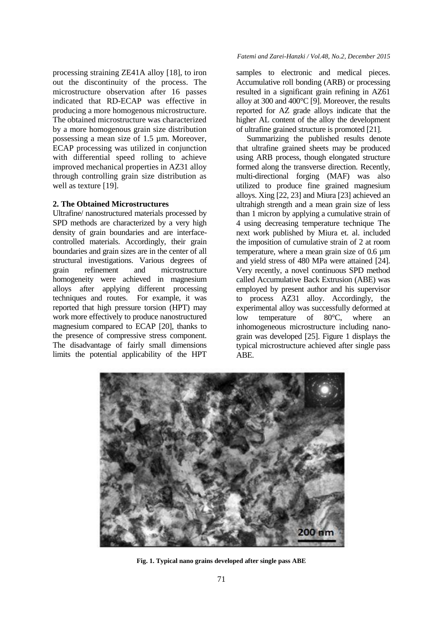processing straining ZE41A alloy [18], to iron out the discontinuity of the process. The microstructure observation after 16 passes indicated that RD-ECAP was effective in producing a more homogenous microstructure. The obtained microstructure was characterized by a more homogenous grain size distribution possessing a mean size of 1.5 µm. Moreover, ECAP processing was utilized in conjunction with differential speed rolling to achieve improved mechanical properties in AZ31 alloy through controlling grain size distribution as well as texture [19].

## **2. The Obtained Microstructures**

Ultrafine/ nanostructured materials processed by SPD methods are characterized by a very high density of grain boundaries and are interfacecontrolled materials. Accordingly, their grain boundaries and grain sizes are in the center of all structural investigations. Various degrees of grain refinement and microstructure homogeneity were achieved in magnesium alloys after applying different processing techniques and routes. For example, it was reported that high pressure torsion (HPT) may work more effectively to produce nanostructured magnesium compared to ECAP [20], thanks to the presence of compressive stress component. The disadvantage of fairly small dimensions limits the potential applicability of the HPT

#### *Fatemi and Zarei-Hanzki / Vol.48, No.2, December 2015*

samples to electronic and medical pieces. Accumulative roll bonding (ARB) or processing resulted in a significant grain refining in AZ61 alloy at 300 and 400°C [9]. Moreover, the results reported for AZ grade alloys indicate that the higher AL content of the alloy the development of ultrafine grained structure is promoted [21].

Summarizing the published results denote that ultrafine grained sheets may be produced using ARB process, though elongated structure formed along the transverse direction. Recently, multi-directional forging (MAF) was also utilized to produce fine grained magnesium alloys. Xing [22, 23] and Miura [23] achieved an ultrahigh strength and a mean grain size of less than 1 micron by applying a cumulative strain of 4 using decreasing temperature technique The next work published by Miura et. al. included the imposition of cumulative strain of 2 at room temperature, where a mean grain size of 0.6 µm and yield stress of 480 MPa were attained [24]. Very recently, a novel continuous SPD method called Accumulative Back Extrusion (ABE) was employed by present author and his supervisor to process AZ31 alloy. Accordingly, the experimental alloy was successfully deformed at low temperature of 80°C, where an inhomogeneous microstructure including nanograin was developed [25]. Figure 1 displays the typical microstructure achieved after single pass ABE.



**Fig. 1. Typical nano grains developed after single pass ABE**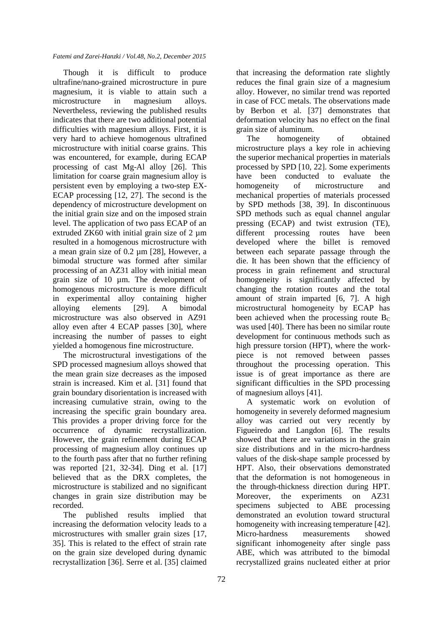Though it is difficult to produce ultrafine/nano-grained microstructure in pure magnesium, it is viable to attain such a microstructure in magnesium alloys. Nevertheless, reviewing the published results indicates that there are two additional potential difficulties with magnesium alloys. First, it is very hard to achieve homogenous ultrafined microstructure with initial coarse grains. This was encountered, for example, during ECAP processing of cast Mg-Al alloy [26]. This limitation for coarse grain magnesium alloy is persistent even by employing a two-step EX-ECAP processing [12, 27]. The second is the dependency of microstructure development on the initial grain size and on the imposed strain level. The application of two pass ECAP of an extruded  $ZK60$  with initial grain size of 2 um resulted in a homogenous microstructure with a mean grain size of 0.2 µm [28], However, a bimodal structure was formed after similar processing of an AZ31 alloy with initial mean grain size of 10 µm. The development of homogenous microstructure is more difficult in experimental alloy containing higher alloying elements [29]. A bimodal microstructure was also observed in AZ91 alloy even after 4 ECAP passes [30], where increasing the number of passes to eight yielded a homogenous fine microstructure.

The microstructural investigations of the SPD processed magnesium alloys showed that the mean grain size decreases as the imposed strain is increased. Kim et al. [31] found that grain boundary disorientation is increased with increasing cumulative strain, owing to the increasing the specific grain boundary area. This provides a proper driving force for the occurrence of dynamic recrystallization. However, the grain refinement during ECAP processing of magnesium alloy continues up to the fourth pass after that no further refining was reported [21, 32-34]. Ding et al. [17] believed that as the DRX completes, the microstructure is stabilized and no significant changes in grain size distribution may be recorded.

The published results implied that increasing the deformation velocity leads to a microstructures with smaller grain sizes [17, 35]. This is related to the effect of strain rate on the grain size developed during dynamic recrystallization [36]. Serre et al. [35] claimed that increasing the deformation rate slightly reduces the final grain size of a magnesium alloy. However, no similar trend was reported in case of FCC metals. The observations made by Berbon et al. [37] demonstrates that deformation velocity has no effect on the final grain size of aluminum.

The homogeneity of obtained microstructure plays a key role in achieving the superior mechanical properties in materials processed by SPD [10, 22]. Some experiments have been conducted to evaluate the homogeneity of microstructure and mechanical properties of materials processed by SPD methods [38, 39]. In discontinuous SPD methods such as equal channel angular pressing (ECAP) and twist extrusion (TE), different processing routes have been developed where the billet is removed between each separate passage through the die. It has been shown that the efficiency of process in grain refinement and structural homogeneity is significantly affected by changing the rotation routes and the total amount of strain imparted [6, 7]. A high microstructural homogeneity by ECAP has been achieved when the processing route  $B<sub>C</sub>$ was used [40]. There has been no similar route development for continuous methods such as high pressure torsion (HPT), where the workpiece is not removed between passes throughout the processing operation. This issue is of great importance as there are significant difficulties in the SPD processing of magnesium alloys [41].

A systematic work on evolution of homogeneity in severely deformed magnesium alloy was carried out very recently by Figueiredo and Langdon [6]. The results showed that there are variations in the grain size distributions and in the micro-hardness values of the disk-shape sample processed by HPT. Also, their observations demonstrated that the deformation is not homogeneous in the through-thickness direction during HPT. Moreover, the experiments on AZ31 specimens subjected to ABE processing demonstrated an evolution toward structural homogeneity with increasing temperature [42]. Micro-hardness measurements showed significant inhomogeneity after single pass ABE, which was attributed to the bimodal recrystallized grains nucleated either at prior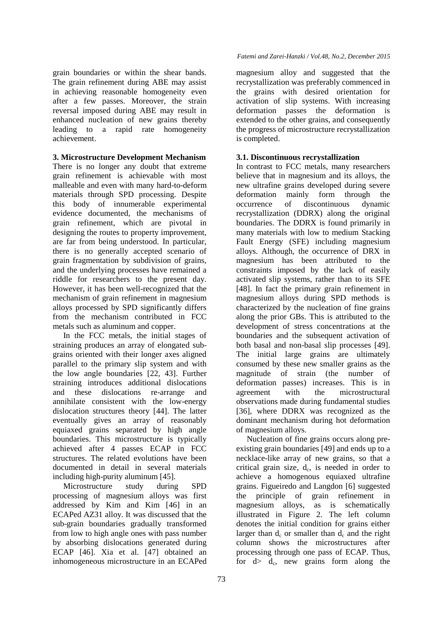grain boundaries or within the shear bands. The grain refinement during ABE may assist in achieving reasonable homogeneity even after a few passes. Moreover, the strain reversal imposed during ABE may result in enhanced nucleation of new grains thereby leading to a rapid rate homogeneity achievement.

# **3. Microstructure Development Mechanism**

There is no longer any doubt that extreme grain refinement is achievable with most malleable and even with many hard-to-deform materials through SPD processing. Despite this body of innumerable experimental evidence documented, the mechanisms of grain refinement, which are pivotal in designing the routes to property improvement, are far from being understood. In particular, there is no generally accepted scenario of grain fragmentation by subdivision of grains, and the underlying processes have remained a riddle for researchers to the present day. However, it has been well-recognized that the mechanism of grain refinement in magnesium alloys processed by SPD significantly differs from the mechanism contributed in FCC metals such as aluminum and copper.

In the FCC metals, the initial stages of straining produces an array of elongated subgrains oriented with their longer axes aligned parallel to the primary slip system and with the low angle boundaries [22, 43]. Further straining introduces additional dislocations and these dislocations re-arrange and annihilate consistent with the low-energy dislocation structures theory [44]. The latter eventually gives an array of reasonably equiaxed grains separated by high angle boundaries. This microstructure is typically achieved after 4 passes ECAP in FCC structures. The related evolutions have been documented in detail in several materials including high-purity aluminum [45].

Microstructure study during SPD processing of magnesium alloys was first addressed by Kim and Kim [46] in an ECAPed AZ31 alloy. It was discussed that the sub-grain boundaries gradually transformed from low to high angle ones with pass number by absorbing dislocations generated during ECAP [46]. Xia et al. [47] obtained an inhomogeneous microstructure in an ECAPed

## *Fatemi and Zarei-Hanzki / Vol.48, No.2, December 2015*

magnesium alloy and suggested that the recrystallization was preferably commenced in the grains with desired orientation for activation of slip systems. With increasing deformation passes the deformation is extended to the other grains, and consequently the progress of microstructure recrystallization is completed.

# **3.1. Discontinuous recrystallization**

In contrast to FCC metals, many researchers believe that in magnesium and its alloys, the new ultrafine grains developed during severe deformation mainly form through the occurrence of discontinuous dynamic recrystallization (DDRX) along the original boundaries. The DDRX is found primarily in many materials with low to medium Stacking Fault Energy (SFE) including magnesium alloys. Although, the occurrence of DRX in magnesium has been attributed to the constraints imposed by the lack of easily activated slip systems, rather than to its SFE [48]. In fact the primary grain refinement in magnesium alloys during SPD methods is characterized by the nucleation of fine grains along the prior GBs. This is attributed to the development of stress concentrations at the boundaries and the subsequent activation of both basal and non-basal slip processes [49]. The initial large grains are ultimately consumed by these new smaller grains as the magnitude of strain (the number of deformation passes) increases. This is in agreement with the microstructural observations made during fundamental studies [36], where DDRX was recognized as the dominant mechanism during hot deformation of magnesium alloys.

Nucleation of fine grains occurs along preexisting grain boundaries [49] and ends up to a necklace-like array of new grains, so that a critical grain size,  $d_c$ , is needed in order to achieve a homogenous equiaxed ultrafine grains. Figueiredo and Langdon [6] suggested the principle of grain refinement in magnesium alloys, as is schematically illustrated in Figure 2. The left column denotes the initial condition for grains either larger than  $d_c$  or smaller than  $d_c$  and the right column shows the microstructures after processing through one pass of ECAP. Thus, for  $d > d_c$ , new grains form along the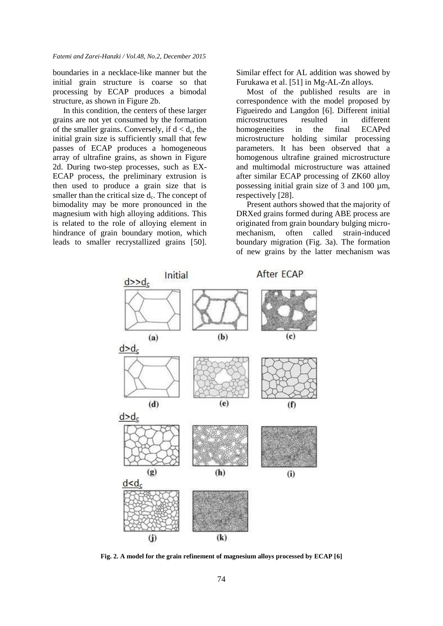boundaries in a necklace-like manner but the initial grain structure is coarse so that processing by ECAP produces a bimodal structure, as shown in Figure 2b.

In this condition, the centers of these larger grains are not yet consumed by the formation of the smaller grains. Conversely, if  $d < d_c$ , the initial grain size is sufficiently small that few passes of ECAP produces a homogeneous array of ultrafine grains, as shown in Figure 2d. During two-step processes, such as EX-ECAP process, the preliminary extrusion is then used to produce a grain size that is smaller than the critical size  $d_c$ . The concept of bimodality may be more pronounced in the magnesium with high alloying additions. This is related to the role of alloying element in hindrance of grain boundary motion, which leads to smaller recrystallized grains [50].

Similar effect for AL addition was showed by Furukawa et al. [51] in Mg-AL-Zn alloys.

Most of the published results are in correspondence with the model proposed by Figueiredo and Langdon [6]. Different initial microstructures resulted in different homogeneities in the final ECAPed microstructure holding similar processing parameters. It has been observed that a homogenous ultrafine grained microstructure and multimodal microstructure was attained after similar ECAP processing of ZK60 alloy possessing initial grain size of 3 and 100 µm, respectively [28].

Present authors showed that the majority of DRXed grains formed during ABE process are originated from grain boundary bulging micromechanism, often called strain-induced boundary migration (Fig. 3a). The formation of new grains by the latter mechanism was



**Fig. 2. A model for the grain refinement of magnesium alloys processed by ECAP [6]**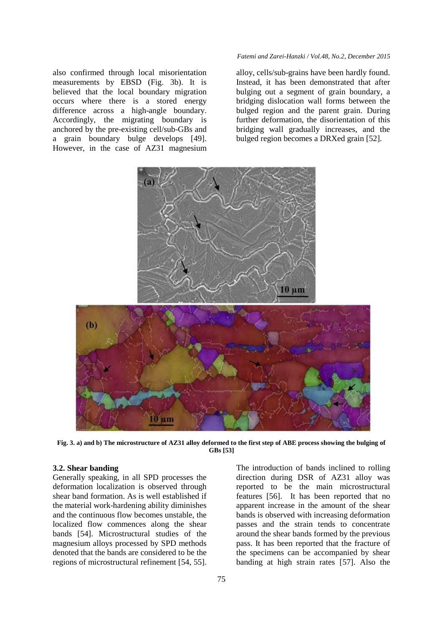also confirmed through local misorientation measurements by EBSD (Fig. 3b). It is believed that the local boundary migration occurs where there is a stored energy difference across a high-angle boundary. Accordingly, the migrating boundary is anchored by the pre-existing cell/sub-GBs and a grain boundary bulge develops [49]. However, in the case of AZ31 magnesium

#### *Fatemi and Zarei-Hanzki / Vol.48, No.2, December 2015*

alloy, cells/sub-grains have been hardly found. Instead, it has been demonstrated that after bulging out a segment of grain boundary, a bridging dislocation wall forms between the bulged region and the parent grain. During further deformation, the disorientation of this bridging wall gradually increases, and the bulged region becomes a DRXed grain [52].



**Fig. 3. a) and b) The microstructure of AZ31 alloy deformed to the first step of ABE process showing the bulging of GBs [53]**

## **3.2. Shear banding**

Generally speaking, in all SPD processes the deformation localization is observed through shear band formation. As is well established if the material work-hardening ability diminishes and the continuous flow becomes unstable, the localized flow commences along the shear bands [54]. Microstructural studies of the magnesium alloys processed by SPD methods denoted that the bands are considered to be the regions of microstructural refinement [54, 55].

The introduction of bands inclined to rolling direction during DSR of AZ31 alloy was reported to be the main microstructural features [56]. It has been reported that no apparent increase in the amount of the shear bands is observed with increasing deformation passes and the strain tends to concentrate around the shear bands formed by the previous pass. It has been reported that the fracture of the specimens can be accompanied by shear banding at high strain rates [57]. Also the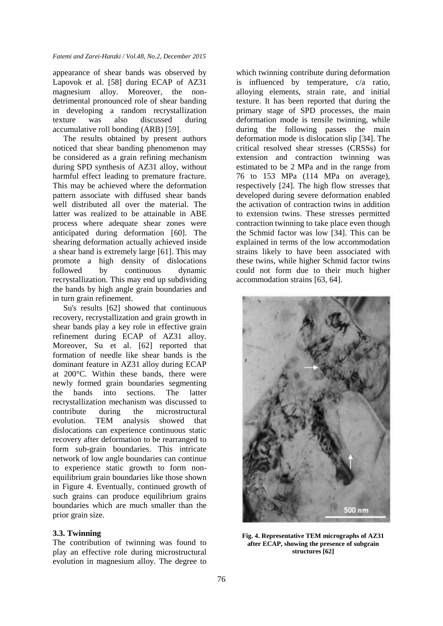appearance of shear bands was observed by Lapovok et al. [58] during ECAP of AZ31 magnesium alloy. Moreover, the nondetrimental pronounced role of shear banding in developing a random recrystallization texture was also discussed during accumulative roll bonding (ARB) [59].

The results obtained by present authors noticed that shear banding phenomenon may be considered as a grain refining mechanism during SPD synthesis of AZ31 alloy, without harmful effect leading to premature fracture. This may be achieved where the deformation pattern associate with diffused shear bands well distributed all over the material. The latter was realized to be attainable in ABE process where adequate shear zones were anticipated during deformation [60]. The shearing deformation actually achieved inside a shear band is extremely large [61]. This may promote a high density of dislocations followed by continuous dynamic recrystallization. This may end up subdividing the bands by high angle grain boundaries and in turn grain refinement.

Su's results [62] showed that continuous recovery, recrystallization and grain growth in shear bands play a key role in effective grain refinement during ECAP of AZ31 alloy. Moreover, Su et al. [62] reported that formation of needle like shear bands is the dominant feature in AZ31 alloy during ECAP at 200°C. Within these bands, there were newly formed grain boundaries segmenting the bands into sections. The latter recrystallization mechanism was discussed to contribute during the microstructural evolution. TEM analysis showed that dislocations can experience continuous static recovery after deformation to be rearranged to form sub-grain boundaries. This intricate network of low angle boundaries can continue to experience static growth to form nonequilibrium grain boundaries like those shown in Figure 4. Eventually, continued growth of such grains can produce equilibrium grains boundaries which are much smaller than the prior grain size.

# **3.3. Twinning**

The contribution of twinning was found to play an effective role during microstructural evolution in magnesium alloy. The degree to

which twinning contribute during deformation is influenced by temperature, c/a ratio, alloying elements, strain rate, and initial texture. It has been reported that during the primary stage of SPD processes, the main deformation mode is tensile twinning, while during the following passes the main deformation mode is dislocation slip [34]. The critical resolved shear stresses (CRSSs) for extension and contraction twinning was estimated to be 2 MPa and in the range from 76 to 153 MPa (114 MPa on average), respectively [24]. The high flow stresses that developed during severe deformation enabled the activation of contraction twins in addition to extension twins. These stresses permitted contraction twinning to take place even though the Schmid factor was low [34]. This can be explained in terms of the low accommodation strains likely to have been associated with these twins, while higher Schmid factor twins could not form due to their much higher accommodation strains [63, 64].



**Fig. 4. Representative TEM micrographs of AZ31 after ECAP, showing the presence of subgrain structures [62]**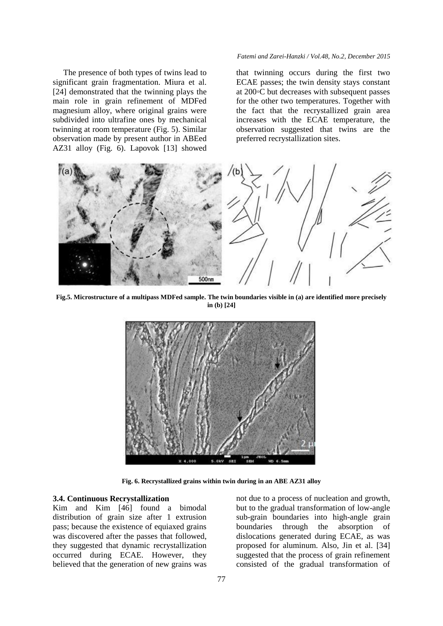The presence of both types of twins lead to significant grain fragmentation. Miura et al. [24] demonstrated that the twinning plays the main role in grain refinement of MDFed magnesium alloy, where original grains were subdivided into ultrafine ones by mechanical twinning at room temperature (Fig. 5). Similar observation made by present author in ABEed AZ31 alloy (Fig. 6). Lapovok [13] showed

#### *Fatemi and Zarei-Hanzki / Vol.48, No.2, December 2015*

that twinning occurs during the first two ECAE passes; the twin density stays constant at 200◦C but decreases with subsequent passes for the other two temperatures. Together with the fact that the recrystallized grain area increases with the ECAE temperature, the observation suggested that twins are the preferred recrystallization sites.



**Fig.5. Microstructure of a multipass MDFed sample. The twin boundaries visible in (a) are identified more precisely in (b) [24]**



**Fig. 6. Recrystallized grains within twin during in an ABE AZ31 alloy**

#### **3.4. Continuous Recrystallization**

Kim and Kim [46] found a bimodal distribution of grain size after 1 extrusion pass; because the existence of equiaxed grains was discovered after the passes that followed, they suggested that dynamic recrystallization occurred during ECAE. However, they believed that the generation of new grains was not due to a process of nucleation and growth, but to the gradual transformation of low-angle sub-grain boundaries into high-angle grain boundaries through the absorption of dislocations generated during ECAE, as was proposed for aluminum. Also, Jin et al. [34] suggested that the process of grain refinement consisted of the gradual transformation of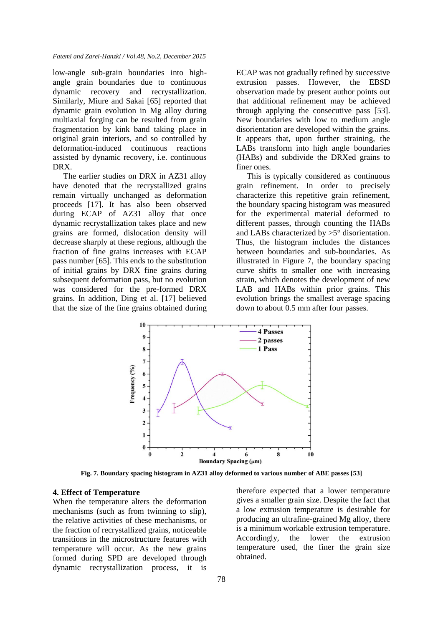low-angle sub-grain boundaries into highangle grain boundaries due to continuous dynamic recovery and recrystallization. Similarly, Miure and Sakai [65] reported that dynamic grain evolution in Mg alloy during multiaxial forging can be resulted from grain fragmentation by kink band taking place in original grain interiors, and so controlled by deformation-induced continuous reactions assisted by dynamic recovery, i.e. continuous DRX.

The earlier studies on DRX in AZ31 alloy have denoted that the recrystallized grains remain virtually unchanged as deformation proceeds [17]. It has also been observed during ECAP of AZ31 alloy that once dynamic recrystallization takes place and new grains are formed, dislocation density will decrease sharply at these regions, although the fraction of fine grains increases with ECAP pass number [65]. This ends to the substitution of initial grains by DRX fine grains during subsequent deformation pass, but no evolution was considered for the pre-formed DRX grains. In addition, Ding et al. [17] believed that the size of the fine grains obtained during

ECAP was not gradually refined by successive extrusion passes. However, the EBSD observation made by present author points out that additional refinement may be achieved through applying the consecutive pass [53]. New boundaries with low to medium angle disorientation are developed within the grains. It appears that, upon further straining, the LABs transform into high angle boundaries (HABs) and subdivide the DRXed grains to finer ones.

This is typically considered as continuous grain refinement. In order to precisely characterize this repetitive grain refinement, the boundary spacing histogram was measured for the experimental material deformed to different passes, through counting the HABs and LABs characterized by >5° disorientation. Thus, the histogram includes the distances between boundaries and sub-boundaries. As illustrated in Figure 7, the boundary spacing curve shifts to smaller one with increasing strain, which denotes the development of new LAB and HABs within prior grains. This evolution brings the smallest average spacing down to about 0.5 mm after four passes.



**Fig. 7. Boundary spacing histogram in AZ31 alloy deformed to various number of ABE passes [53]**

#### **4. Effect of Temperature**

When the temperature alters the deformation mechanisms (such as from twinning to slip), the relative activities of these mechanisms, or the fraction of recrystallized grains, noticeable transitions in the microstructure features with temperature will occur. As the new grains formed during SPD are developed through dynamic recrystallization process, it is therefore expected that a lower temperature gives a smaller grain size. Despite the fact that a low extrusion temperature is desirable for producing an ultrafine-grained Mg alloy, there is a minimum workable extrusion temperature. Accordingly, the lower the extrusion temperature used, the finer the grain size obtained.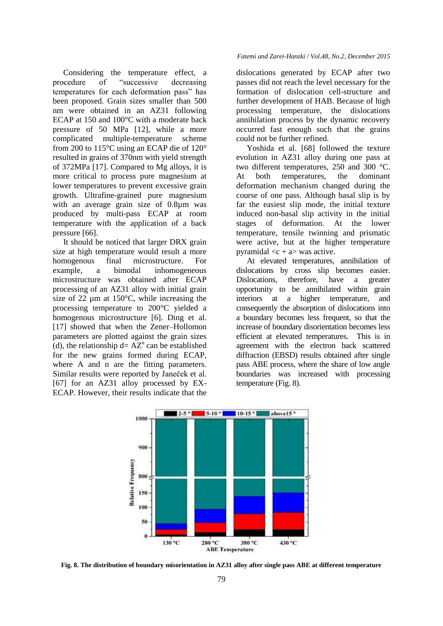Considering the temperature effect, a procedure of "successive decreasing temperatures for each deformation pass" has been proposed. Grain sizes smaller than 500 nm were obtained in an AZ31 following ECAP at 150 and 100°C with a moderate back pressure of 50 MPa [12], while a more complicated multiple-temperature scheme from 200 to 115°C using an ECAP die of 120° resulted in grains of 370nm with yield strength of 372MPa [17]. Compared to Mg alloys, it is more critical to process pure magnesium at lower temperatures to prevent excessive grain growth. Ultrafine-grained pure magnesium with an average grain size of 0.8µm was produced by multi-pass ECAP at room temperature with the application of a back pressure [66].

It should be noticed that larger DRX grain size at high temperature would result a more homogenous final microstructure. For example, a bimodal inhomogeneous microstructure was obtained after ECAP processing of an AZ31 alloy with initial grain size of 22  $\mu$ m at 150 $\degree$ C, while increasing the processing temperature to 200°C yielded a homogenous microstructure [6]. Ding et al. [17] showed that when the Zener–Hollomon parameters are plotted against the grain sizes (d), the relationship  $d = AZ^n$  can be established for the new grains formed during ECAP, where A and n are the fitting parameters. Similar results were reported by Janeček et al. [67] for an AZ31 alloy processed by EX-ECAP. However, their results indicate that the

### *Fatemi and Zarei-Hanzki / Vol.48, No.2, December 2015*

dislocations generated by ECAP after two passes did not reach the level necessary for the formation of dislocation cell-structure and further development of HAB. Because of high processing temperature, the dislocations annihilation process by the dynamic recovery occurred fast enough such that the grains could not be further refined.

Yoshida et al. [68] followed the texture evolution in AZ31 alloy during one pass at two different temperatures, 250 and 300 °C. At both temperatures, the dominant deformation mechanism changed during the course of one pass. Although basal slip is by far the easiest slip mode, the initial texture induced non-basal slip activity in the initial stages of deformation. At the lower temperature, tensile twinning and prismatic were active, but at the higher temperature pyramidal  $\langle c + a \rangle$  was active.

At elevated temperatures, annihilation of dislocations by cross slip becomes easier. Dislocations, therefore, have a greater opportunity to be annihilated within grain interiors at a higher temperature, and consequently the absorption of dislocations into a boundary becomes less frequent, so that the increase of boundary disorientation becomes less efficient at elevated temperatures. This is in agreement with the electron back scattered diffraction (EBSD) results obtained after single pass ABE process, where the share of low angle boundaries was increased with processing temperature (Fig. 8).



**Fig. 8. The distribution of boundary misorientation in AZ31 alloy after single pass ABE at different temperature**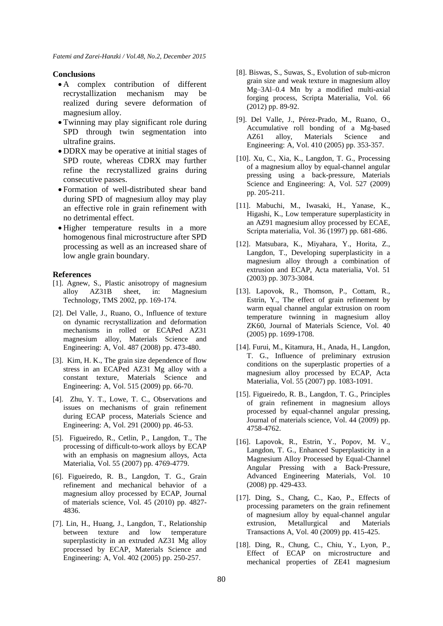## **Conclusions**

- A complex contribution of different recrystallization mechanism may be realized during severe deformation of magnesium alloy.
- Twinning may play significant role during SPD through twin segmentation into ultrafine grains.
- DDRX may be operative at initial stages of SPD route, whereas CDRX may further refine the recrystallized grains during consecutive passes.
- Formation of well-distributed shear band during SPD of magnesium alloy may play an effective role in grain refinement with no detrimental effect.
- Higher temperature results in a more homogenous final microstructure after SPD processing as well as an increased share of low angle grain boundary.

#### **References**

- [1]. Agnew, S., Plastic anisotropy of magnesium alloy AZ31B sheet, in: Magnesium Technology, TMS 2002, pp. 169-174.
- [2]. Del Valle, J., Ruano, O., Influence of texture on dynamic recrystallization and deformation mechanisms in rolled or ECAPed AZ31 magnesium alloy, Materials Science and Engineering: A, Vol. 487 (2008) pp. 473-480.
- [3]. Kim, H. K., The grain size dependence of flow stress in an ECAPed AZ31 Mg alloy with a constant texture, Materials Science and Engineering: A, Vol. 515 (2009) pp. 66-70.
- [4]. Zhu, Y. T., Lowe, T. C., Observations and issues on mechanisms of grain refinement during ECAP process, Materials Science and Engineering: A, Vol. 291 (2000) pp. 46-53.
- [5]. Figueiredo, R., Cetlin, P., Langdon, T., The processing of difficult-to-work alloys by ECAP with an emphasis on magnesium alloys, Acta Materialia, Vol. 55 (2007) pp. 4769-4779.
- [6]. Figueiredo, R. B., Langdon, T. G., Grain refinement and mechanical behavior of a magnesium alloy processed by ECAP, Journal of materials science, Vol. 45 (2010) pp. 4827- 4836.
- [7]. Lin, H., Huang, J., Langdon, T., Relationship between texture and low temperature superplasticity in an extruded AZ31 Mg alloy processed by ECAP, Materials Science and Engineering: A, Vol. 402 (2005) pp. 250-257.
- [8]. Biswas, S., Suwas, S., Evolution of sub-micron grain size and weak texture in magnesium alloy Mg–3Al–0.4 Mn by a modified multi-axial forging process, Scripta Materialia, Vol. 66 (2012) pp. 89-92.
- [9]. Del Valle, J., Pérez-Prado, M., Ruano, O., Accumulative roll bonding of a Mg-based AZ61 alloy, Materials Science and Engineering: A, Vol. 410 (2005) pp. 353-357.
- [10]. Xu, C., Xia, K., Langdon, T. G., Processing of a magnesium alloy by equal-channel angular pressing using a back-pressure, Materials Science and Engineering: A, Vol. 527 (2009) pp. 205-211.
- [11]. Mabuchi, M., Iwasaki, H., Yanase, K., Higashi, K., Low temperature superplasticity in an AZ91 magnesium alloy processed by ECAE, Scripta materialia, Vol. 36 (1997) pp. 681-686.
- [12]. Matsubara, K., Miyahara, Y., Horita, Z., Langdon, T., Developing superplasticity in a magnesium alloy through a combination of extrusion and ECAP, Acta materialia, Vol. 51 (2003) pp. 3073-3084.
- [13]. Lapovok, R., Thomson, P., Cottam, R., Estrin, Y., The effect of grain refinement by warm equal channel angular extrusion on room temperature twinning in magnesium alloy ZK60, Journal of Materials Science, Vol. 40 (2005) pp. 1699-1708.
- [14]. Furui, M., Kitamura, H., Anada, H., Langdon, T. G., Influence of preliminary extrusion conditions on the superplastic properties of a magnesium alloy processed by ECAP, Acta Materialia, Vol. 55 (2007) pp. 1083-1091.
- [15]. Figueiredo, R. B., Langdon, T. G., Principles of grain refinement in magnesium alloys processed by equal-channel angular pressing, Journal of materials science, Vol. 44 (2009) pp. 4758-4762.
- [16]. Lapovok, R., Estrin, Y., Popov, M. V., Langdon, T. G., Enhanced Superplasticity in a Magnesium Alloy Processed by Equal‐Channel Angular Pressing with a Back‐Pressure, Advanced Engineering Materials, Vol. 10 (2008) pp. 429-433.
- [17]. Ding, S., Chang, C., Kao, P., Effects of processing parameters on the grain refinement of magnesium alloy by equal-channel angular extrusion, Metallurgical and Materials Transactions A, Vol. 40 (2009) pp. 415-425.
- [18]. Ding, R., Chung, C., Chiu, Y., Lyon, P., Effect of ECAP on microstructure and mechanical properties of ZE41 magnesium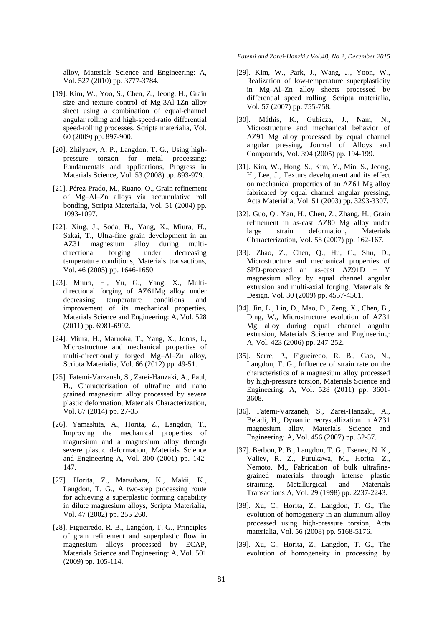alloy, Materials Science and Engineering: A, Vol. 527 (2010) pp. 3777-3784.

- [19]. Kim, W., Yoo, S., Chen, Z., Jeong, H., Grain size and texture control of Mg-3Al-1Zn alloy sheet using a combination of equal-channel angular rolling and high-speed-ratio differential speed-rolling processes, Scripta materialia, Vol. 60 (2009) pp. 897-900.
- [20]. Zhilyaev, A. P., Langdon, T. G., Using highpressure torsion for metal processing: Fundamentals and applications, Progress in Materials Science, Vol. 53 (2008) pp. 893-979.
- [21]. Pérez-Prado, M., Ruano, O., Grain refinement of Mg–Al–Zn alloys via accumulative roll bonding, Scripta Materialia, Vol. 51 (2004) pp. 1093-1097.
- [22]. Xing, J., Soda, H., Yang, X., Miura, H., Sakai, T., Ultra-fine grain development in an AZ31 magnesium alloy during multidirectional forging under decreasing temperature conditions, Materials transactions, Vol. 46 (2005) pp. 1646-1650.
- [23]. Miura, H., Yu, G., Yang, X., Multidirectional forging of AZ61Mg alloy under decreasing temperature conditions and improvement of its mechanical properties, Materials Science and Engineering: A, Vol. 528 (2011) pp. 6981-6992.
- [24]. Miura, H., Maruoka, T., Yang, X., Jonas, J., Microstructure and mechanical properties of multi-directionally forged Mg–Al–Zn alloy, Scripta Materialia, Vol. 66 (2012) pp. 49-51.
- [25]. Fatemi-Varzaneh, S., Zarei-Hanzaki, A., Paul, H., Characterization of ultrafine and nano grained magnesium alloy processed by severe plastic deformation, Materials Characterization, Vol. 87 (2014) pp. 27-35.
- [26]. Yamashita, A., Horita, Z., Langdon, T., Improving the mechanical properties of magnesium and a magnesium alloy through severe plastic deformation, Materials Science and Engineering A, Vol. 300 (2001) pp. 142- 147.
- [27]. Horita, Z., Matsubara, K., Makii, K., Langdon, T. G., A two-step processing route for achieving a superplastic forming capability in dilute magnesium alloys, Scripta Materialia, Vol. 47 (2002) pp. 255-260.
- [28]. Figueiredo, R. B., Langdon, T. G., Principles of grain refinement and superplastic flow in magnesium alloys processed by ECAP, Materials Science and Engineering: A, Vol. 501 (2009) pp. 105-114.
- [29]. Kim, W., Park, J., Wang, J., Yoon, W., Realization of low-temperature superplasticity in Mg–Al–Zn alloy sheets processed by differential speed rolling, Scripta materialia, Vol. 57 (2007) pp. 755-758.
- [30]. Máthis, K., Gubicza, J., Nam, N., Microstructure and mechanical behavior of AZ91 Mg alloy processed by equal channel angular pressing, Journal of Alloys and Compounds, Vol. 394 (2005) pp. 194-199.
- [31]. Kim, W., Hong, S., Kim, Y., Min, S., Jeong, H., Lee, J., Texture development and its effect on mechanical properties of an AZ61 Mg alloy fabricated by equal channel angular pressing, Acta Materialia, Vol. 51 (2003) pp. 3293-3307.
- [32]. Guo, Q., Yan, H., Chen, Z., Zhang, H., Grain refinement in as-cast AZ80 Mg alloy under large strain deformation, Materials Characterization, Vol. 58 (2007) pp. 162-167.
- [33]. Zhao, Z., Chen, Q., Hu, C., Shu, D., Microstructure and mechanical properties of SPD-processed an as-cast AZ91D + Y magnesium alloy by equal channel angular extrusion and multi-axial forging, Materials & Design, Vol. 30 (2009) pp. 4557-4561.
- [34]. Jin, L., Lin, D., Mao, D., Zeng, X., Chen, B., Ding, W., Microstructure evolution of AZ31 Mg alloy during equal channel angular extrusion, Materials Science and Engineering: A, Vol. 423 (2006) pp. 247-252.
- [35]. Serre, P., Figueiredo, R. B., Gao, N., Langdon, T. G., Influence of strain rate on the characteristics of a magnesium alloy processed by high-pressure torsion, Materials Science and Engineering: A, Vol. 528 (2011) pp. 3601- 3608.
- [36]. Fatemi-Varzaneh, S., Zarei-Hanzaki, A., Beladi, H., Dynamic recrystallization in AZ31 magnesium alloy, Materials Science and Engineering: A, Vol. 456 (2007) pp. 52-57.
- [37]. Berbon, P. B., Langdon, T. G., Tsenev, N. K., Valiev, R. Z., Furukawa, M., Horita, Z., Nemoto, M., Fabrication of bulk ultrafinegrained materials through intense plastic straining, Metallurgical and Materials Transactions A, Vol. 29 (1998) pp. 2237-2243.
- [38]. Xu, C., Horita, Z., Langdon, T. G., The evolution of homogeneity in an aluminum alloy processed using high-pressure torsion, Acta materialia, Vol. 56 (2008) pp. 5168-5176.
- [39]. Xu, C., Horita, Z., Langdon, T. G., The evolution of homogeneity in processing by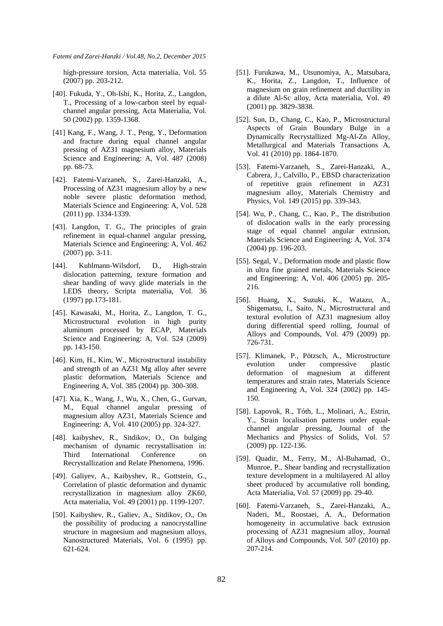high-pressure torsion, Acta materialia, Vol. 55 (2007) pp. 203-212.

- [40]. Fukuda, Y., Oh-Ishi, K., Horita, Z., Langdon, T., Processing of a low-carbon steel by equalchannel angular pressing, Acta Materialia, Vol. 50 (2002) pp. 1359-1368.
- [41] Kang, F., Wang, J. T., Peng, Y., Deformation and fracture during equal channel angular pressing of AZ31 magnesium alloy, Materials Science and Engineering: A, Vol. 487 (2008) pp. 68-73.
- [42]. Fatemi-Varzaneh, S., Zarei-Hanzaki, A., Processing of AZ31 magnesium alloy by a new noble severe plastic deformation method, Materials Science and Engineering: A, Vol. 528 (2011) pp. 1334-1339.
- [43]. Langdon, T. G., The principles of grain refinement in equal-channel angular pressing, Materials Science and Engineering: A, Vol. 462 (2007) pp. 3-11.
- [44]. Kuhlmann-Wilsdorf, D., High-strain dislocation patterning, texture formation and shear banding of wavy glide materials in the LEDS theory, Scripta materialia, Vol. 36 (1997) pp.173-181.
- [45]. Kawasaki, M., Horita, Z., Langdon, T. G., Microstructural evolution in high purity aluminum processed by ECAP, Materials Science and Engineering: A, Vol. 524 (2009) pp. 143-150.
- [46]. Kim, H., Kim, W., Microstructural instability and strength of an AZ31 Mg alloy after severe plastic deformation, Materials Science and Engineering A, Vol. 385 (2004) pp. 300-308.
- [47]. Xia, K., Wang, J., Wu, X., Chen, G., Gurvan, M., Equal channel angular pressing of magnesium alloy AZ31, Materials Science and Engineering: A, Vol. 410 (2005) pp. 324-327.
- [48]. kaibyshev, R., Sitdikov, O., On bulging mechanism of dynamic recrystallisation in: Third International Conference on Recrystallization and Relate Phenomena, 1996.
- [49]. Galiyev, A., Kaibyshev, R., Gottstein, G., Correlation of plastic deformation and dynamic recrystallization in magnesium alloy ZK60, Acta materialia, Vol. 49 (2001) pp. 1199-1207.
- [50]. Kaibyshev, R., Galiev, A., Sitdikov, O., On the possibility of producing a nanocrystalline structure in magnesium and magnesium alloys, Nanostructured Materials, Vol. 6 (1995) pp. 621-624.
- [51]. Furukawa, M., Utsunomiya, A., Matsubara, K., Horita, Z., Langdon, T., Influence of magnesium on grain refinement and ductility in a dilute Al-Sc alloy, Acta materialia, Vol. 49 (2001) pp. 3829-3838.
- [52]. Sun, D., Chang, C., Kao, P., Microstructural Aspects of Grain Boundary Bulge in a Dynamically Recrystallized Mg-Al-Zn Alloy, Metallurgical and Materials Transactions A, Vol. 41 (2010) pp. 1864-1870.
- [53]. Fatemi-Varzaneh, S., Zarei-Hanzaki, A., Cabrera, J., Calvillo, P., EBSD characterization of repetitive grain refinement in AZ31 magnesium alloy, Materials Chemistry and Physics, Vol. 149 (2015) pp. 339-343.
- [54]. Wu, P., Chang, C., Kao, P., The distribution of dislocation walls in the early processing stage of equal channel angular extrusion, Materials Science and Engineering: A, Vol. 374 (2004) pp. 196-203.
- [55]. Segal, V., Deformation mode and plastic flow in ultra fine grained metals, Materials Science and Engineering: A, Vol. 406 (2005) pp. 205- 216.
- [56]. Huang, X., Suzuki, K., Watazu, A., Shigematsu, I., Saito, N., Microstructural and textural evolution of AZ31 magnesium alloy during differential speed rolling, Journal of Alloys and Compounds, Vol. 479 (2009) pp. 726-731.
- [57]. Klimanek, P., Pötzsch, A., Microstructure evolution under compressive plastic deformation of magnesium at different temperatures and strain rates, Materials Science and Engineering A, Vol. 324 (2002) pp. 145- 150.
- [58]. Lapovok, R., Tóth, L., Molinari, A., Estrin, Y., Strain localisation patterns under equalchannel angular pressing, Journal of the Mechanics and Physics of Solids, Vol. 57 (2009) pp. 122-136.
- [59]. Quadir, M., Ferry, M., Al-Buhamad, O., Munroe, P., Shear banding and recrystallization texture development in a multilayered Al alloy sheet produced by accumulative roll bonding, Acta Materialia, Vol. 57 (2009) pp. 29-40.
- [60]. Fatemi-Varzaneh, S., Zarei-Hanzaki, A., Naderi, M., Roostaei, A. A., Deformation homogeneity in accumulative back extrusion processing of AZ31 magnesium alloy, Journal of Alloys and Compounds, Vol. 507 (2010) pp. 207-214.